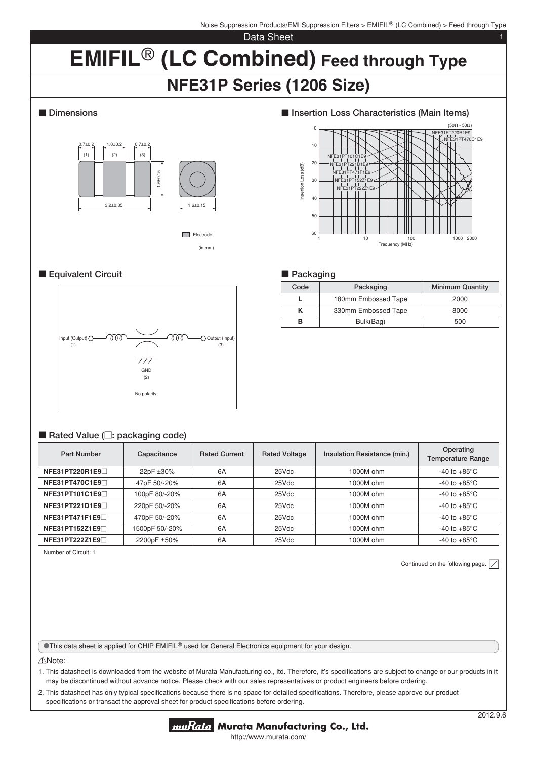#### Data Sheet 1

# **EMIFIL<sup>®</sup> (LC Combined) Feed through Type NFE31P Series (1206 Size)**

# $\blacksquare$  Dimensions



(in mm) **T**: Electrode

## **Equivalent Circuit**



#### ■ Rated Value ( $□$ : packaging code)

| Part Number     | Capacitance    | <b>Rated Current</b> | <b>Rated Voltage</b> | Insulation Resistance (min.) | Operating<br><b>Temperature Range</b> |
|-----------------|----------------|----------------------|----------------------|------------------------------|---------------------------------------|
| NFE31PT220R1E9  | 22pF ±30%      | 6A                   | 25Vdc                | 1000M ohm                    | -40 to $+85^{\circ}$ C                |
| NFE31PT470C1E9□ | 47pF 50/-20%   | 6A                   | 25Vdc                | 1000M ohm                    | -40 to $+85^{\circ}$ C                |
| NFE31PT101C1E9  | 100pF 80/-20%  | 6A                   | 25Vdc                | 1000M ohm                    | -40 to $+85^{\circ}$ C                |
| NFE31PT221D1E9  | 220pF 50/-20%  | 6A                   | 25Vdc                | 1000M ohm                    | -40 to $+85^{\circ}$ C                |
| NFE31PT471F1E9□ | 470pF 50/-20%  | 6A                   | 25Vdc                | 1000M ohm                    | -40 to $+85^{\circ}$ C                |
| NFE31PT152Z1E9  | 1500pF 50/-20% | 6A                   | 25Vdc                | 1000M ohm                    | -40 to $+85^{\circ}$ C                |
| NFE31PT222Z1E9  | 2200pF ±50%    | 6A                   | 25Vdc                | 1000M ohm                    | -40 to $+85^{\circ}$ C                |

Number of Circuit: 1

Continued on the following page.  $\boxed{\nearrow}$ 

**OThis data sheet is applied for CHIP EMIFIL® used for General Electronics equipment for your design.** 

!Note:

1. This datasheet is downloaded from the website of Murata Manufacturing co., Itd. Therefore, it's specifications are subject to change or our products in it may be discontinued without advance notice. Please check with our sales representatives or product engineers before ordering.

2. This datasheet has only typical specifications because there is no space for detailed specifications. Therefore, please approve our product specifications or transact the approval sheet for product specifications before ordering.



# **■ Insertion Loss Characteristics (Main Items)**



### **Packaging**

| Code | Packaging           | <b>Minimum Quantity</b> |
|------|---------------------|-------------------------|
|      | 180mm Embossed Tape | 2000                    |
|      | 330mm Embossed Tape | 8000                    |
| R    | Bulk(Bag)           | 500                     |